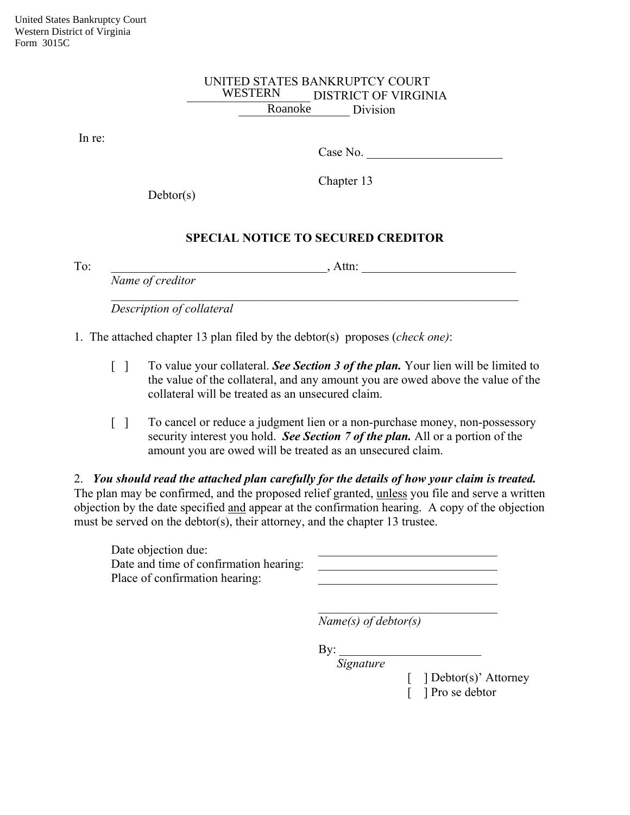## UNITED STATES BANKRUPTCY COURT \_\_\_\_\_\_\_\_\_\_\_\_\_\_\_\_\_\_\_\_ DISTRICT OF VIRGINIA Roanoke Division WESTERN

In re:

Case No.

Chapter 13

Debtor(s)

## **SPECIAL NOTICE TO SECURED CREDITOR**

 $\mathcal{L}_\mathcal{L} = \mathcal{L}_\mathcal{L} = \mathcal{L}_\mathcal{L} = \mathcal{L}_\mathcal{L} = \mathcal{L}_\mathcal{L} = \mathcal{L}_\mathcal{L} = \mathcal{L}_\mathcal{L} = \mathcal{L}_\mathcal{L} = \mathcal{L}_\mathcal{L} = \mathcal{L}_\mathcal{L} = \mathcal{L}_\mathcal{L} = \mathcal{L}_\mathcal{L} = \mathcal{L}_\mathcal{L} = \mathcal{L}_\mathcal{L} = \mathcal{L}_\mathcal{L} = \mathcal{L}_\mathcal{L} = \mathcal{L}_\mathcal{L}$ 

To: the contract of the contract of the contract of  $\lambda$  Attn:  $\lambda$ 

*Name of creditor* 

*Description of collateral*

1. The attached chapter 13 plan filed by the debtor(s) proposes (*check one)*:

- [ ] To value your collateral. *See Section 3 of the plan*. Your lien will be limited to the value of the collateral, and any amount you are owed above the value of the collateral will be treated as an unsecured claim.
- [ ] To cancel or reduce a judgment lien or a non-purchase money, non-possessory security interest you hold. *See Section 7 of the plan.* All or a portion of the amount you are owed will be treated as an unsecured claim.

2. *You should read the attached plan carefully for the details of how your claim is treated.*  The plan may be confirmed, and the proposed relief granted, unless you file and serve a written objection by the date specified and appear at the confirmation hearing. A copy of the objection must be served on the debtor(s), their attorney, and the chapter 13 trustee.

\_\_\_\_\_\_\_\_\_\_\_\_\_\_\_\_\_\_\_\_\_\_\_\_\_\_\_\_\_

Date objection due: Date and time of confirmation hearing: Place of confirmation hearing:

|  |  |  | ________ |
|--|--|--|----------|
|  |  |  |          |
|  |  |  |          |
|  |  |  |          |

 *Name(s) of debtor(s)* 

 $\mathbf{By:}$ 

*Signature*

[ ] Debtor(s)' Attorney [ ] Pro se debtor